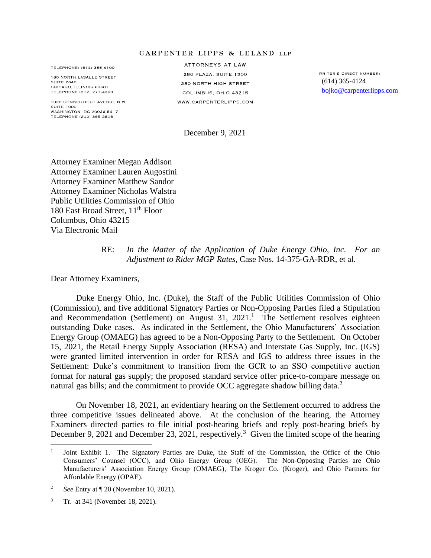## **GARPENTER LIPPS & LELAND LLP**

TELEPHONE: (614) 365-4100

180 NORTH LASALLE STREET **SUITE 2640** CHICAGO. ILLINOIS 60601 TELEPHONE (312) 777-4300

1025 CONNECTICUT AVENUE N.W. SUITE 1000 WASHINGTON, DC 20036-5417 TELEPHONE (202) 365-2808

ATTORNEYS AT LAW 280 PLAZA, SUITE 1300 280 NORTH HIGH STREET COLUMBUS, OHIO 43215 WWW.CARPENTERLIPPS.COM

WRITER'S DIRECT NUMBER (614) 365-4124 [bojko@carpenterlipps.com](mailto:bojko@carpenterlipps.com)

December 9, 2021

Attorney Examiner Megan Addison Attorney Examiner Lauren Augostini Attorney Examiner Matthew Sandor Attorney Examiner Nicholas Walstra Public Utilities Commission of Ohio 180 East Broad Street, 11<sup>th</sup> Floor Columbus, Ohio 43215 Via Electronic Mail

## RE: *In the Matter of the Application of Duke Energy Ohio, Inc. For an Adjustment to Rider MGP Rates*, Case Nos. 14-375-GA-RDR, et al.

Dear Attorney Examiners,

Duke Energy Ohio, Inc. (Duke), the Staff of the Public Utilities Commission of Ohio (Commission), and five additional Signatory Parties or Non-Opposing Parties filed a Stipulation and Recommendation (Settlement) on August  $31, 2021$ .<sup>1</sup> The Settlement resolves eighteen outstanding Duke cases. As indicated in the Settlement, the Ohio Manufacturers' Association Energy Group (OMAEG) has agreed to be a Non-Opposing Party to the Settlement. On October 15, 2021, the Retail Energy Supply Association (RESA) and Interstate Gas Supply, Inc. (IGS) were granted limited intervention in order for RESA and IGS to address three issues in the Settlement: Duke's commitment to transition from the GCR to an SSO competitive auction format for natural gas supply; the proposed standard service offer price-to-compare message on natural gas bills; and the commitment to provide OCC aggregate shadow billing data.<sup>2</sup>

On November 18, 2021, an evidentiary hearing on the Settlement occurred to address the three competitive issues delineated above. At the conclusion of the hearing, the Attorney Examiners directed parties to file initial post-hearing briefs and reply post-hearing briefs by December 9, 2021 and December 23, 2021, respectively.<sup>3</sup> Given the limited scope of the hearing

 $\overline{\phantom{a}}$ 

<sup>1</sup> Joint Exhibit 1. The Signatory Parties are Duke, the Staff of the Commission, the Office of the Ohio Consumers' Counsel (OCC), and Ohio Energy Group (OEG). The Non-Opposing Parties are Ohio Manufacturers' Association Energy Group (OMAEG), The Kroger Co. (Kroger), and Ohio Partners for Affordable Energy (OPAE).

<sup>2</sup> *See* Entry at ¶ 20 (November 10, 2021).

<sup>3</sup> Tr. at 341 (November 18, 2021).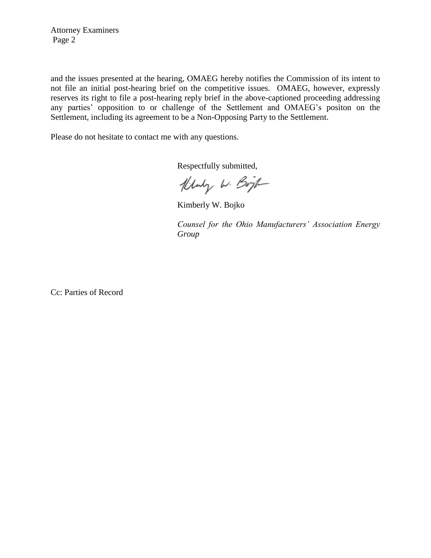Attorney Examiners Page 2

and the issues presented at the hearing, OMAEG hereby notifies the Commission of its intent to not file an initial post-hearing brief on the competitive issues. OMAEG, however, expressly reserves its right to file a post-hearing reply brief in the above-captioned proceeding addressing any parties' opposition to or challenge of the Settlement and OMAEG's positon on the Settlement, including its agreement to be a Non-Opposing Party to the Settlement.

Please do not hesitate to contact me with any questions.

Respectfully submitted,

Kluby W. Bojt

Kimberly W. Bojko

*Counsel for the Ohio Manufacturers' Association Energy Group*

Cc: Parties of Record